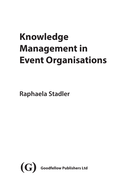# **Knowledge Management in Event Organisations**

**Raphaela Stadler**

<span id="page-0-0"></span>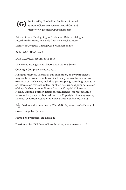<span id="page-1-0"></span>Published by Goodfellow Publishers Limited, 26 Home Close, Wolvercote, Oxford OX2 8PS **(G)**http://www.goodfellowpublishers.com

British Library Cataloguing in Publication Data: a catalogue record for this title is available from the British Library.

Library of Congress Catalog Card Number: on file.

ISBN: 978-1-911635-46-8

DOI: 10.23912/9781911635444-4545

The Events Management Theory and Methods Series

Copyright © Raphaela Stadler, 2021

All rights reserved. The text of this publication, or any part thereof, may not be reproduced or transmitted in any form or by any means, electronic or mechanical, including photocopying, recording, storage in an information retrieval system, or otherwise, without prior permission of the publisher or under licence from the Copyright Licensing Agency Limited. Further details of such licences (for reprographic reproduction) may be obtained from the Copyright Licensing Agency Limited, of Saffron House, 6–10 Kirby Street, London EC1N 8TS.

Design and typesetting by P.K. McBride, www.macbride.org.uk

Cover design by Cylinder

Printed by Printforce, Biggleswade

Distributed by UK Marston Book Services, www.marston.co.uk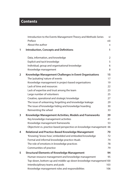## <span id="page-2-0"></span>**Contents**

|   | Introduction to the Events Management Theory and Methods Series<br>Preface<br>About the author                                                                                                                                           | vi<br>viii<br>X            |
|---|------------------------------------------------------------------------------------------------------------------------------------------------------------------------------------------------------------------------------------------|----------------------------|
| 1 | <b>Introduction, Concepts and Definitions</b>                                                                                                                                                                                            | 1                          |
|   | Data, information, and knowledge                                                                                                                                                                                                         | $\overline{2}$             |
|   | Explicit and tacit knowledge<br>Individual, group and organisational knowledge<br>Knowledge management                                                                                                                                   | 5<br>6<br>8                |
| 2 | Knowledge Management Challenges in Event Organisations<br>The 'pulsating' nature of events                                                                                                                                               | 15<br>17                   |
|   | Knowledge management in project-based organisations<br>Lack of time and resources<br>Lack of expertise and trust among the team                                                                                                          | 19<br>22<br>23             |
|   | Large number of volunteers<br>Creative, operational and strategic knowledge                                                                                                                                                              | 25<br>27                   |
|   | The issue of unlearning, forgetting and knowledge leakage<br>The issue of knowledge hiding and knowledge hoarding                                                                                                                        | 29<br>30                   |
|   | Reinventing the wheel                                                                                                                                                                                                                    | 33                         |
| 3 | Knowledge Management Activities, Models and Frameworks<br>Key knowledge management activities<br>Knowledge management frameworks<br>Objectivist vs. practice-based perspective on knowledge management 66                                | 39<br>41<br>53             |
| 4 | Relational and Practice-Based Knowledge Management<br>'Knowing', 'know-how', embedded and embodied knowledge<br>Formal and informal knowledge practice rituals<br>The role of emotions in knowledge practices<br>Communities-of-practice | 70<br>72<br>74<br>78<br>79 |
| 5 | <b>Structural Elements of Knowledge Management</b><br>Human resource management and knowledge management<br>Top-down, bottom-up and middle-up-down knowledge management100<br>Interdisciplinary teams and pods                           | 94<br>95<br>103            |
|   | Knowledge management roles and responsibilities                                                                                                                                                                                          | 106                        |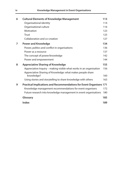<span id="page-3-0"></span>

| 6 | <b>Cultural Elements of Knowledge Management</b>                           | 113 |
|---|----------------------------------------------------------------------------|-----|
|   | Organisational identity                                                    | 114 |
|   | Organisational culture                                                     | 116 |
|   | Motivation                                                                 | 123 |
|   | Trust                                                                      | 125 |
|   | Collaboration and co-creation                                              | 127 |
| 7 | <b>Power and Knowledge</b>                                                 | 134 |
|   | Power, politics and conflict in organisations                              | 136 |
|   | Power as a resource                                                        | 137 |
|   | The concept of power/knowledge                                             | 142 |
|   | Power and empowerment                                                      | 144 |
| 8 | <b>Appreciative Sharing of Knowledge</b>                                   | 155 |
|   | Appreciative Inquiry – making visible what works in an organisation        | 156 |
|   | Appreciative Sharing of Knowledge: what makes people share                 |     |
|   | knowledge?                                                                 | 160 |
|   | Using stories and storytelling to share knowledge with others              | 163 |
| 9 | <b>Practical Implications and Recommendations for Event Organisers 171</b> |     |
|   | Knowledge management recommendations for event organisers                  | 172 |
|   | Future research into knowledge management in event organisations           | 180 |
|   | Glossary                                                                   | 185 |
|   | Index                                                                      | 189 |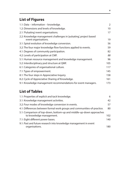# <span id="page-4-0"></span>**List of Figures**

| 1.1: Data – information – knowledge.                                                       | 2   |
|--------------------------------------------------------------------------------------------|-----|
| 1.2: Dimensions and levels of knowledge.                                                   | 10  |
| 2.1: 'Pulsating' event organisations.                                                      | 17  |
| 2.2: Knowledge management challenges in 'pulsating', project based<br>event organisations. | 19  |
| 3.1: Spiral evolution of knowledge conversion.                                             | 56  |
| 3.2: The four major knowledge flow functions applied to events.                            | 59  |
| 4.1: Degrees of community participation.                                                   | 82  |
| 4.2: Levels of participation at CMF.                                                       | 88  |
| 5.1: Human resource management and knowledge management.                                   | 96  |
| 5.2: Interdisciplinary pod structure at QMF.                                               | 105 |
| 6.1: Categories of organisational culture.                                                 | 117 |
| 7.1: Types of empowerment.                                                                 | 145 |
| 8.1: The four steps in Appreciative Inquiry.                                               | 158 |
| 8.2: Cycle of Appreciative Sharing of Knowledge.                                           | 161 |
| 9.1: Knowledge management recommendations for event managers.                              | 173 |

## **List of Tables**

| 1.1: Properties of explicit and tacit knowledge.                                                 | 6   |
|--------------------------------------------------------------------------------------------------|-----|
| 3.1: Knowledge management activities.                                                            | 42  |
| 3.2: Four modes of knowledge conversion in events.                                               | 57  |
| 4.1: Differences between formal work groups and communities-of-practice.                         | 80  |
| 5.1: Comparison of top-down, bottom-up and middle-up-down approaches<br>to knowledge management. | 102 |
| 7.1: Eight different power bases.                                                                | 140 |
| 9.1: Past and future research into knowledge management in event<br>organisations.               | 180 |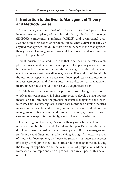### <span id="page-5-0"></span>**Introduction to the Events Management Theory and Methods Series**

Event management as a field of study and professional practice has its textbooks with plenty of models and advice, a body of knowledge (EMBOK), competency standards (MBECS) and professional associations with their codes of conduct. But to what extent is it truly an applied management field? In other words, where is the management theory in event management, how is it being used, and what are the practical applications?

Event tourism is a related field, one that is defined by the roles events play in tourism and economic development. The primary consideration has always been economic, although increasingly events and managed event portfolios meet more diverse goals for cities and countries. While the economic aspects have been well developed, especially economic impact assessment and forecasting, the application of management theory to event tourism has not received adequate attention.

In this book series we launch a process of examining the extent to which mainstream theory is being employed to develop event-specific theory, and to influence the practice of event management and event tourism. This is a very big task, as there are numerous possible theories, models and concepts, and virtually unlimited advice available on the management of firms, small and family businesses, government agencies and not-for-profits. Inevitably, we will have to be selective.

The starting point is theory. Scientific theory must both explain a phenomenon, and be able to predict what will happen. Experiments are the dominant form of classical theory development. But for management, predictive capabilities are usually lacking; it might be wiser to speak of theory in development, or theory fragments. It is often the process of theory development that marks research in management, including the testing of hypotheses and the formulation of propositions. Models, frameworks, concepts and sets of propositions are all part of this development.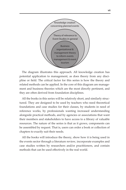<span id="page-6-0"></span>

The diagram illustrates this approach. All knowledge creation has potential application to management, as does theory from any discipline or field. The critical factor for this series is how the theory and related methods can be applied. In the core of this diagram are management and business theories which are the most directly pertinent, and they are often derived from foundation disciplines.

All the books in this series will be relatively short, and similarly structured. They are designed to be used by teachers who need theoretical foundations and case studies for their classes, by students in need of reference works, by professionals wanting increased understanding alongside practical methods, and by agencies or associations that want their members and stakeholders to have access to a library of valuable resources. The nature of the series is that as it grows, components can be assembled by request. That is, users can order a book or collection of chapters to exactly suit their needs.

All the books will introduce the theory, show how it is being used in the events sector through a literature review, incorporate examples and case studies written by researchers and/or practitioners, and contain methods that can be used effectively in the real world.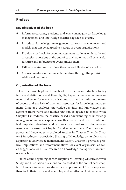#### <span id="page-7-0"></span>**Preface**

#### **Key objectives of the book**

- Inform researchers, students and event managers on knowledge management and knowledge practices applied to events.
- Introduce knowledge management concepts, frameworks and models that can be adapted to a range of event organisations.
- Provide a textbook for event management students with study and discussion questions at the end of each chapter, as well as a useful resource and reference for event practitioners.
- Utilise case studies to explore theories and illustrate key points.
- Connect readers to the research literature through the provision of additional readings.

#### **Organisation of the book**

The first two chapters of this book provide an introduction to key terms and definitions, and then highlight specific knowledge management challenges for event organisations, such as the 'pulsating' nature of events and the lack of time and resources for knowledge management. Chapter 3 explores knowledge activities and knowledge management frameworks and models that can be applied to events, while Chapter 4 introduces the practice-based understanding of knowledge management and also explains how this can be used in an events context. Important structural and cultural elements of knowledge management are discussed in Chapter 5 and 6 respectively. The question of power and knowledge is explored further in Chapter 7, while Chapter 8 introduces Appreciative Sharing of Knowledge as an alternative approach to knowledge management. Lastly, Chapter 9 provides practical implications and recommendations for event organisers, as well as suggestions for future research on knowledge management in event organisations.

Stated at the beginning of each chapter are Learning Objectives, while Study and Discussion questions are presented at the end of each chapter. These are intended for students to apply some of the concepts and theories to their own event examples, and to reflect on their experiences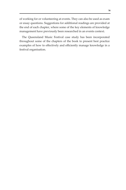<span id="page-8-0"></span>of working for or volunteering at events. They can also be used as exam or essay questions. Suggestions for additional readings are provided at the end of each chapter, where some of the key elements of knowledge management have previously been researched in an events context.

The Queensland Music Festival case study has been incorporated throughout some of the chapters of the book to present best practice examples of how to effectively and efficiently manage knowledge in a festival organisation.